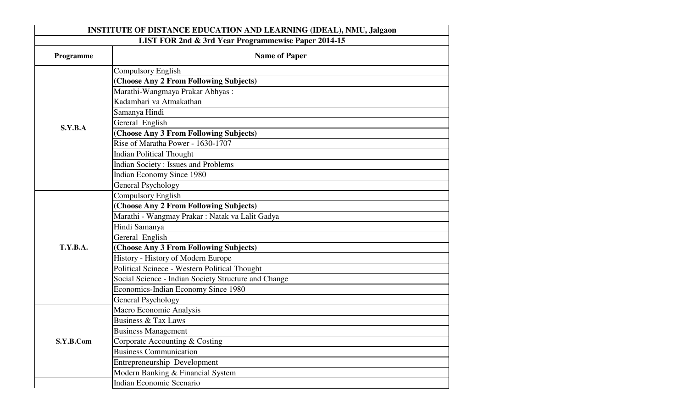| <b>INSTITUTE OF DISTANCE EDUCATION AND LEARNING (IDEAL), NMU, Jalgaon</b> |                                                      |  |
|---------------------------------------------------------------------------|------------------------------------------------------|--|
| LIST FOR 2nd & 3rd Year Programmewise Paper 2014-15                       |                                                      |  |
| Programme                                                                 | <b>Name of Paper</b>                                 |  |
|                                                                           | Compulsory English                                   |  |
|                                                                           | (Choose Any 2 From Following Subjects)               |  |
|                                                                           | Marathi-Wangmaya Prakar Abhyas:                      |  |
|                                                                           | Kadambari va Atmakathan                              |  |
| S.Y.B.A                                                                   | Samanya Hindi                                        |  |
|                                                                           | Gereral English                                      |  |
|                                                                           | (Choose Any 3 From Following Subjects)               |  |
|                                                                           | Rise of Maratha Power - 1630-1707                    |  |
|                                                                           | <b>Indian Political Thought</b>                      |  |
|                                                                           | <b>Indian Society: Issues and Problems</b>           |  |
|                                                                           | <b>Indian Economy Since 1980</b>                     |  |
|                                                                           | General Psychology                                   |  |
|                                                                           | Compulsory English                                   |  |
|                                                                           | (Choose Any 2 From Following Subjects)               |  |
|                                                                           | Marathi - Wangmay Prakar : Natak va Lalit Gadya      |  |
|                                                                           | Hindi Samanya                                        |  |
|                                                                           | Gereral English                                      |  |
| <b>T.Y.B.A.</b>                                                           | (Choose Any 3 From Following Subjects)               |  |
|                                                                           | History - History of Modern Europe                   |  |
|                                                                           | Political Scinece - Western Political Thought        |  |
|                                                                           | Social Science - Indian Society Structure and Change |  |
|                                                                           | Economics-Indian Economy Since 1980                  |  |
|                                                                           | <b>General Psychology</b>                            |  |
|                                                                           | Macro Economic Analysis                              |  |
|                                                                           | <b>Business &amp; Tax Laws</b>                       |  |
|                                                                           | <b>Business Management</b>                           |  |
| S.Y.B.Com                                                                 | Corporate Accounting & Costing                       |  |
|                                                                           | <b>Business Communication</b>                        |  |
|                                                                           | Entrepreneurship Development                         |  |
|                                                                           | Modern Banking & Financial System                    |  |
|                                                                           | Indian Economic Scenario                             |  |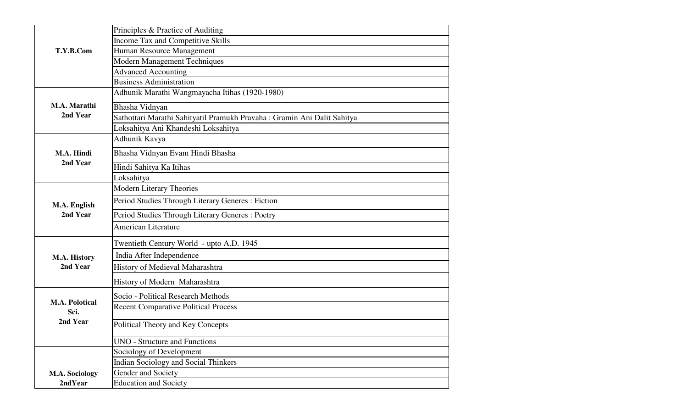| Principles & Practice of Auditing                                        |
|--------------------------------------------------------------------------|
| Income Tax and Competitive Skills                                        |
| Human Resource Management                                                |
| <b>Modern Management Techniques</b>                                      |
| <b>Advanced Accounting</b>                                               |
| <b>Business Administration</b>                                           |
| Adhunik Marathi Wangmayacha Itihas (1920-1980)                           |
| Bhasha Vidnyan                                                           |
| Sathottari Marathi Sahityatil Pramukh Pravaha : Gramin Ani Dalit Sahitya |
| Loksahitya Ani Khandeshi Loksahitya                                      |
| Adhunik Kavya                                                            |
| Bhasha Vidnyan Evam Hindi Bhasha                                         |
| Hindi Sahitya Ka Itihas                                                  |
| Loksahitya                                                               |
| <b>Modern Literary Theories</b>                                          |
| Period Studies Through Literary Generes : Fiction                        |
| Period Studies Through Literary Generes: Poetry                          |
| <b>American Literature</b>                                               |
| Twentieth Century World - upto A.D. 1945                                 |
| India After Independence                                                 |
| History of Medieval Maharashtra                                          |
| History of Modern Maharashtra                                            |
| Socio - Political Research Methods                                       |
| <b>Recent Comparative Political Process</b>                              |
| Political Theory and Key Concepts                                        |
| <b>UNO - Structure and Functions</b>                                     |
| Sociology of Development                                                 |
| <b>Indian Sociology and Social Thinkers</b>                              |
| Gender and Society                                                       |
| <b>Education and Society</b>                                             |
|                                                                          |